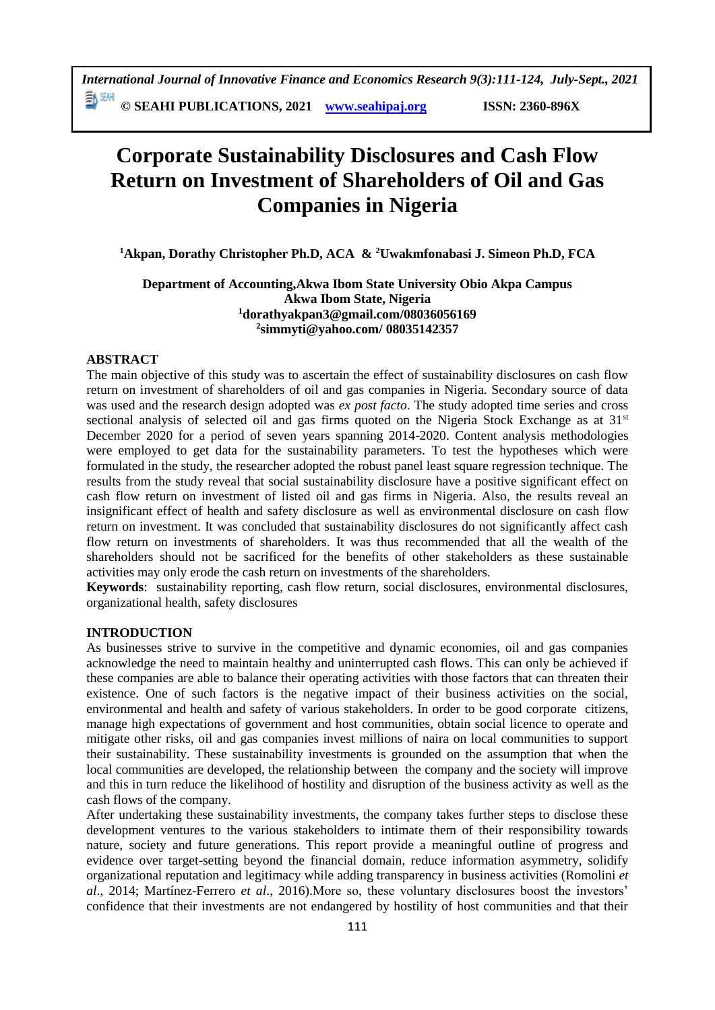**© SEAHI PUBLICATIONS, 2021 [www.seahipaj.org](http://www.seahipaj.org/) ISSN: 2360-896X**

# **Corporate Sustainability Disclosures and Cash Flow Return on Investment of Shareholders of Oil and Gas Companies in Nigeria**

**<sup>1</sup>Akpan, Dorathy Christopher Ph.D, ACA & <sup>2</sup>Uwakmfonabasi J. Simeon Ph.D, FCA**

# **Department of Accounting,Akwa Ibom State University Obio Akpa Campus Akwa Ibom State, Nigeria <sup>1</sup>[dorathyakpan3@gmail.com/](mailto:dorathyakpan3@gmail.com)08036056169 2 [simmyti@yahoo.com/](mailto:simmyti@yahoo.com/) 08035142357**

# **ABSTRACT**

The main objective of this study was to ascertain the effect of sustainability disclosures on cash flow return on investment of shareholders of oil and gas companies in Nigeria. Secondary source of data was used and the research design adopted was *ex post facto*. The study adopted time series and cross sectional analysis of selected oil and gas firms quoted on the Nigeria Stock Exchange as at 31<sup>st</sup> December 2020 for a period of seven years spanning 2014-2020. Content analysis methodologies were employed to get data for the sustainability parameters. To test the hypotheses which were formulated in the study, the researcher adopted the robust panel least square regression technique. The results from the study reveal that social sustainability disclosure have a positive significant effect on cash flow return on investment of listed oil and gas firms in Nigeria. Also, the results reveal an insignificant effect of health and safety disclosure as well as environmental disclosure on cash flow return on investment. It was concluded that sustainability disclosures do not significantly affect cash flow return on investments of shareholders. It was thus recommended that all the wealth of the shareholders should not be sacrificed for the benefits of other stakeholders as these sustainable activities may only erode the cash return on investments of the shareholders.

**Keywords**: sustainability reporting, cash flow return, social disclosures, environmental disclosures, organizational health, safety disclosures

# **INTRODUCTION**

As businesses strive to survive in the competitive and dynamic economies, oil and gas companies acknowledge the need to maintain healthy and uninterrupted cash flows. This can only be achieved if these companies are able to balance their operating activities with those factors that can threaten their existence. One of such factors is the negative impact of their business activities on the social, environmental and health and safety of various stakeholders. In order to be good corporate citizens, manage high expectations of government and host communities, obtain social licence to operate and mitigate other risks, oil and gas companies invest millions of naira on local communities to support their sustainability. These sustainability investments is grounded on the assumption that when the local communities are developed, the relationship between the company and the society will improve and this in turn reduce the likelihood of hostility and disruption of the business activity as well as the cash flows of the company.

After undertaking these sustainability investments, the company takes further steps to disclose these development ventures to the various stakeholders to intimate them of their responsibility towards nature, society and future generations. This report provide a meaningful outline of progress and evidence over target-setting beyond the financial domain, reduce information asymmetry, solidify organizational reputation and legitimacy while adding transparency in business activities (Romolini *et al*., 2014; Martínez-Ferrero *et al*., 2016).More so, these voluntary disclosures boost the investors' confidence that their investments are not endangered by hostility of host communities and that their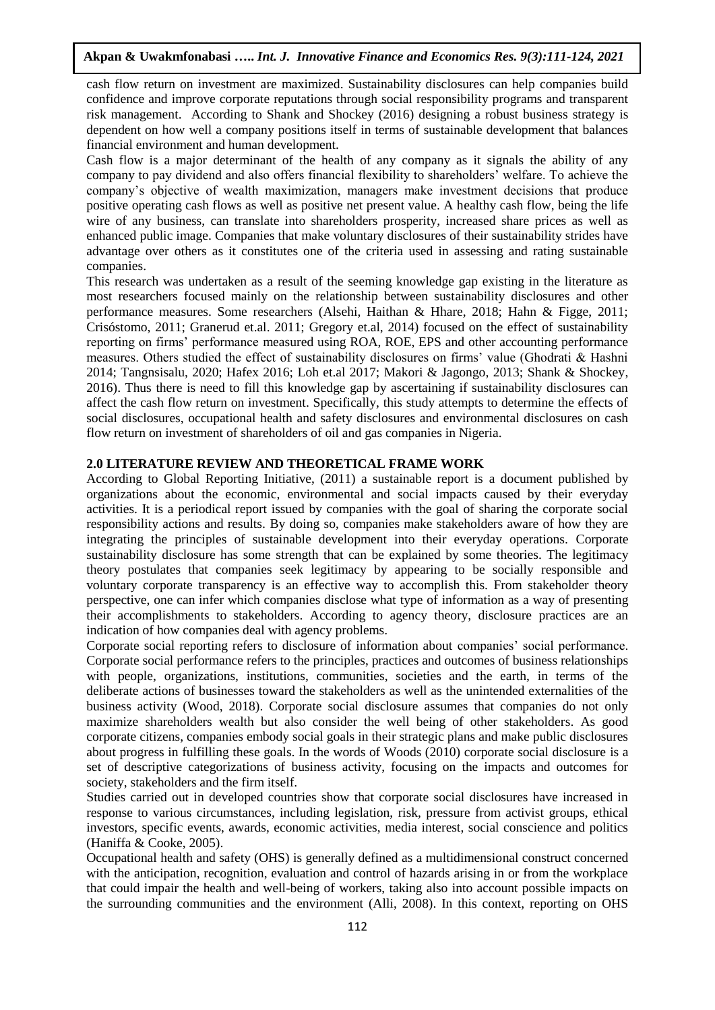cash flow return on investment are maximized. Sustainability disclosures can help companies build confidence and improve corporate reputations through social responsibility programs and transparent risk management. According to Shank and Shockey (2016) designing a robust business strategy is dependent on how well a company positions itself in terms of sustainable development that balances financial environment and human development.

Cash flow is a major determinant of the health of any company as it signals the ability of any company to pay dividend and also offers financial flexibility to shareholders' welfare. To achieve the company's objective of wealth maximization, managers make investment decisions that produce positive operating cash flows as well as positive net present value. A healthy cash flow, being the life wire of any business, can translate into shareholders prosperity, increased share prices as well as enhanced public image. Companies that make voluntary disclosures of their sustainability strides have advantage over others as it constitutes one of the criteria used in assessing and rating sustainable companies.

This research was undertaken as a result of the seeming knowledge gap existing in the literature as most researchers focused mainly on the relationship between sustainability disclosures and other performance measures. Some researchers (Alsehi, Haithan & Hhare, 2018; Hahn & Figge, 2011; Crisóstomo, 2011; Granerud et.al. 2011; Gregory et.al, 2014) focused on the effect of sustainability reporting on firms' performance measured using ROA, ROE, EPS and other accounting performance measures. Others studied the effect of sustainability disclosures on firms' value (Ghodrati & Hashni 2014; Tangnsisalu, 2020; Hafex 2016; Loh et.al 2017; Makori & Jagongo, 2013; Shank & Shockey, 2016). Thus there is need to fill this knowledge gap by ascertaining if sustainability disclosures can affect the cash flow return on investment. Specifically, this study attempts to determine the effects of social disclosures, occupational health and safety disclosures and environmental disclosures on cash flow return on investment of shareholders of oil and gas companies in Nigeria.

## **2.0 LITERATURE REVIEW AND THEORETICAL FRAME WORK**

According to Global Reporting Initiative, (2011) a sustainable report is a document published by organizations about the economic, environmental and social impacts caused by their everyday activities. It is a periodical report issued by companies with the goal of sharing the corporate social responsibility actions and results. By doing so, companies make stakeholders aware of how they are integrating the principles of sustainable development into their everyday operations. Corporate sustainability disclosure has some strength that can be explained by some theories. The legitimacy theory postulates that companies seek legitimacy by appearing to be socially responsible and voluntary corporate transparency is an effective way to accomplish this. From stakeholder theory perspective, one can infer which companies disclose what type of information as a way of presenting their accomplishments to stakeholders. According to agency theory, disclosure practices are an indication of how companies deal with agency problems.

Corporate social reporting refers to disclosure of information about companies' social performance. Corporate social performance refers to the principles, practices and outcomes of business relationships with people, organizations, institutions, communities, societies and the earth, in terms of the deliberate actions of businesses toward the stakeholders as well as the unintended externalities of the business activity (Wood, 2018). Corporate social disclosure assumes that companies do not only maximize shareholders wealth but also consider the well being of other stakeholders. As good corporate citizens, companies embody social goals in their strategic plans and make public disclosures about progress in fulfilling these goals. In the words of Woods (2010) corporate social disclosure is a set of descriptive categorizations of business activity, focusing on the impacts and outcomes for society, stakeholders and the firm itself.

Studies carried out in developed countries show that corporate social disclosures have increased in response to various circumstances, including legislation, risk, pressure from activist groups, ethical investors, specific events, awards, economic activities, media interest, social conscience and politics (Haniffa & Cooke, 2005).

Occupational health and safety (OHS) is generally defined as a multidimensional construct concerned with the anticipation, recognition, evaluation and control of hazards arising in or from the workplace that could impair the health and well-being of workers, taking also into account possible impacts on the surrounding communities and the environment (Alli, 2008). In this context, reporting on OHS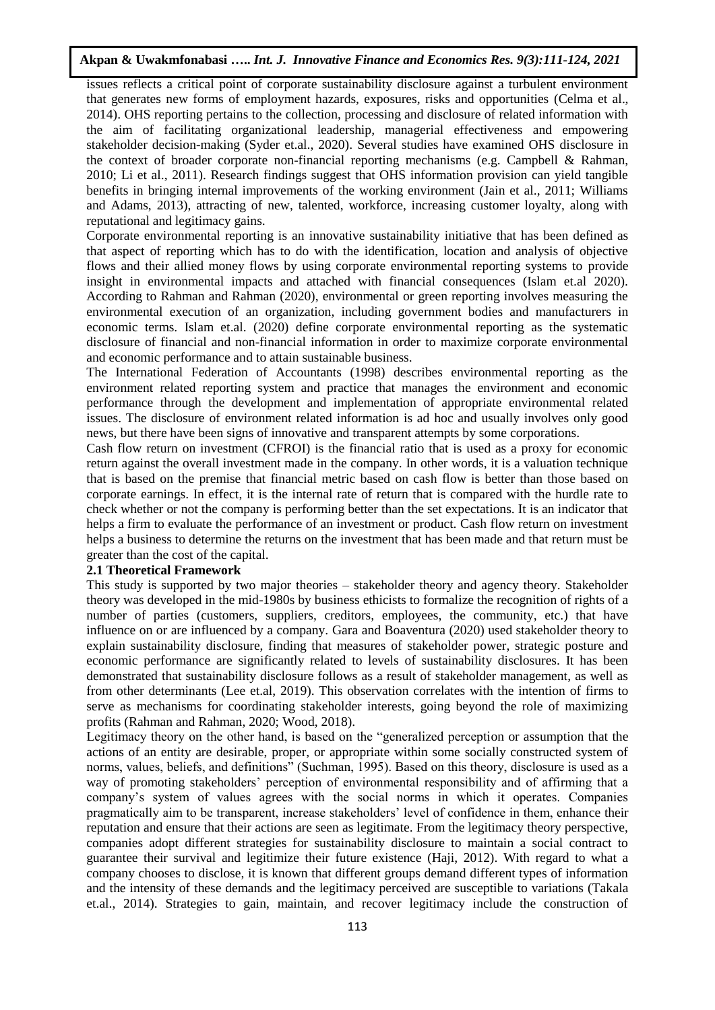issues reflects a critical point of corporate sustainability disclosure against a turbulent environment that generates new forms of employment hazards, exposures, risks and opportunities (Celma et al., 2014). OHS reporting pertains to the collection, processing and disclosure of related information with the aim of facilitating organizational leadership, managerial effectiveness and empowering stakeholder decision-making (Syder et.al., 2020). Several studies have examined OHS disclosure in the context of broader corporate non-financial reporting mechanisms (e.g. Campbell & Rahman, 2010; Li et al., 2011). Research findings suggest that OHS information provision can yield tangible benefits in bringing internal improvements of the working environment (Jain et al., 2011; Williams and Adams, 2013), attracting of new, talented, workforce, increasing customer loyalty, along with reputational and legitimacy gains.

Corporate environmental reporting is an innovative sustainability initiative that has been defined as that aspect of reporting which has to do with the identification, location and analysis of objective flows and their allied money flows by using corporate environmental reporting systems to provide insight in environmental impacts and attached with financial consequences (Islam et.al 2020). According to Rahman and Rahman (2020), environmental or green reporting involves measuring the environmental execution of an organization, including government bodies and manufacturers in economic terms. Islam et.al. (2020) define corporate environmental reporting as the systematic disclosure of financial and non-financial information in order to maximize corporate environmental and economic performance and to attain sustainable business.

The International Federation of Accountants (1998) describes environmental reporting as the environment related reporting system and practice that manages the environment and economic performance through the development and implementation of appropriate environmental related issues. The disclosure of environment related information is ad hoc and usually involves only good news, but there have been signs of innovative and transparent attempts by some corporations.

Cash flow return on investment (CFROI) is the financial ratio that is used as a proxy for economic return against the overall investment made in the company. In other words, it is a valuation technique that is based on the premise that financial metric based on cash flow is better than those based on corporate earnings. In effect, it is the internal rate of return that is compared with the hurdle rate to check whether or not the company is performing better than the set expectations. It is an indicator that helps a firm to evaluate the performance of an investment or product. Cash flow return on investment helps a business to determine the returns on the investment that has been made and that return must be greater than the cost of the capital.

# **2.1 Theoretical Framework**

This study is supported by two major theories – stakeholder theory and agency theory. Stakeholder theory was developed in the mid-1980s by business ethicists to formalize the recognition of rights of a number of parties (customers, suppliers, creditors, employees, the community, etc.) that have influence on or are influenced by a company. Gara and Boaventura (2020) used stakeholder theory to explain sustainability disclosure, finding that measures of stakeholder power, strategic posture and economic performance are significantly related to levels of sustainability disclosures. It has been demonstrated that sustainability disclosure follows as a result of stakeholder management, as well as from other determinants (Lee et.al, 2019). This observation correlates with the intention of firms to serve as mechanisms for coordinating stakeholder interests, going beyond the role of maximizing profits (Rahman and Rahman, 2020; Wood, 2018).

Legitimacy theory on the other hand, is based on the "generalized perception or assumption that the actions of an entity are desirable, proper, or appropriate within some socially constructed system of norms, values, beliefs, and definitions" (Suchman, 1995). Based on this theory, disclosure is used as a way of promoting stakeholders' perception of environmental responsibility and of affirming that a company's system of values agrees with the social norms in which it operates. Companies pragmatically aim to be transparent, increase stakeholders' level of confidence in them, enhance their reputation and ensure that their actions are seen as legitimate. From the legitimacy theory perspective, companies adopt different strategies for sustainability disclosure to maintain a social contract to guarantee their survival and legitimize their future existence (Haji, 2012). With regard to what a company chooses to disclose, it is known that different groups demand different types of information and the intensity of these demands and the legitimacy perceived are susceptible to variations (Takala et.al., 2014). Strategies to gain, maintain, and recover legitimacy include the construction of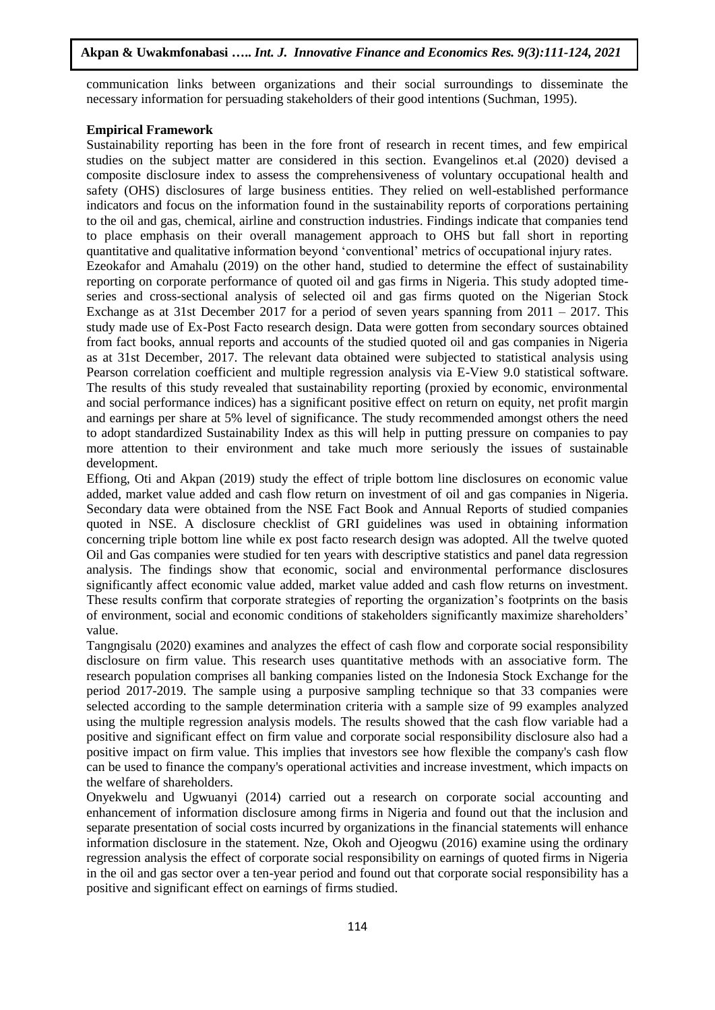communication links between organizations and their social surroundings to disseminate the necessary information for persuading stakeholders of their good intentions (Suchman, 1995).

## **Empirical Framework**

Sustainability reporting has been in the fore front of research in recent times, and few empirical studies on the subject matter are considered in this section. Evangelinos et.al (2020) devised a composite disclosure index to assess the comprehensiveness of voluntary occupational health and safety (OHS) disclosures of large business entities. They relied on well-established performance indicators and focus on the information found in the sustainability reports of corporations pertaining to the oil and gas, chemical, airline and construction industries. Findings indicate that companies tend to place emphasis on their overall management approach to OHS but fall short in reporting quantitative and qualitative information beyond 'conventional' metrics of occupational injury rates. Ezeokafor and Amahalu (2019) on the other hand, studied to determine the effect of sustainability reporting on corporate performance of quoted oil and gas firms in Nigeria. This study adopted timeseries and cross-sectional analysis of selected oil and gas firms quoted on the Nigerian Stock Exchange as at 31st December 2017 for a period of seven years spanning from  $2011 - 2017$ . This study made use of Ex-Post Facto research design. Data were gotten from secondary sources obtained from fact books, annual reports and accounts of the studied quoted oil and gas companies in Nigeria as at 31st December, 2017. The relevant data obtained were subjected to statistical analysis using Pearson correlation coefficient and multiple regression analysis via E-View 9.0 statistical software. The results of this study revealed that sustainability reporting (proxied by economic, environmental and social performance indices) has a significant positive effect on return on equity, net profit margin and earnings per share at 5% level of significance. The study recommended amongst others the need to adopt standardized Sustainability Index as this will help in putting pressure on companies to pay more attention to their environment and take much more seriously the issues of sustainable development.

Effiong, Oti and Akpan (2019) study the effect of triple bottom line disclosures on economic value added, market value added and cash flow return on investment of oil and gas companies in Nigeria. Secondary data were obtained from the NSE Fact Book and Annual Reports of studied companies quoted in NSE. A disclosure checklist of GRI guidelines was used in obtaining information concerning triple bottom line while ex post facto research design was adopted. All the twelve quoted Oil and Gas companies were studied for ten years with descriptive statistics and panel data regression analysis. The findings show that economic, social and environmental performance disclosures significantly affect economic value added, market value added and cash flow returns on investment. These results confirm that corporate strategies of reporting the organization's footprints on the basis of environment, social and economic conditions of stakeholders significantly maximize shareholders' value.

Tangngisalu (2020) examines and analyzes the effect of cash flow and corporate social responsibility disclosure on firm value. This research uses quantitative methods with an associative form. The research population comprises all banking companies listed on the Indonesia Stock Exchange for the period 2017-2019. The sample using a purposive sampling technique so that 33 companies were selected according to the sample determination criteria with a sample size of 99 examples analyzed using the multiple regression analysis models. The results showed that the cash flow variable had a positive and significant effect on firm value and corporate social responsibility disclosure also had a positive impact on firm value. This implies that investors see how flexible the company's cash flow can be used to finance the company's operational activities and increase investment, which impacts on the welfare of shareholders.

Onyekwelu and Ugwuanyi (2014) carried out a research on corporate social accounting and enhancement of information disclosure among firms in Nigeria and found out that the inclusion and separate presentation of social costs incurred by organizations in the financial statements will enhance information disclosure in the statement. Nze, Okoh and Ojeogwu (2016) examine using the ordinary regression analysis the effect of corporate social responsibility on earnings of quoted firms in Nigeria in the oil and gas sector over a ten-year period and found out that corporate social responsibility has a positive and significant effect on earnings of firms studied.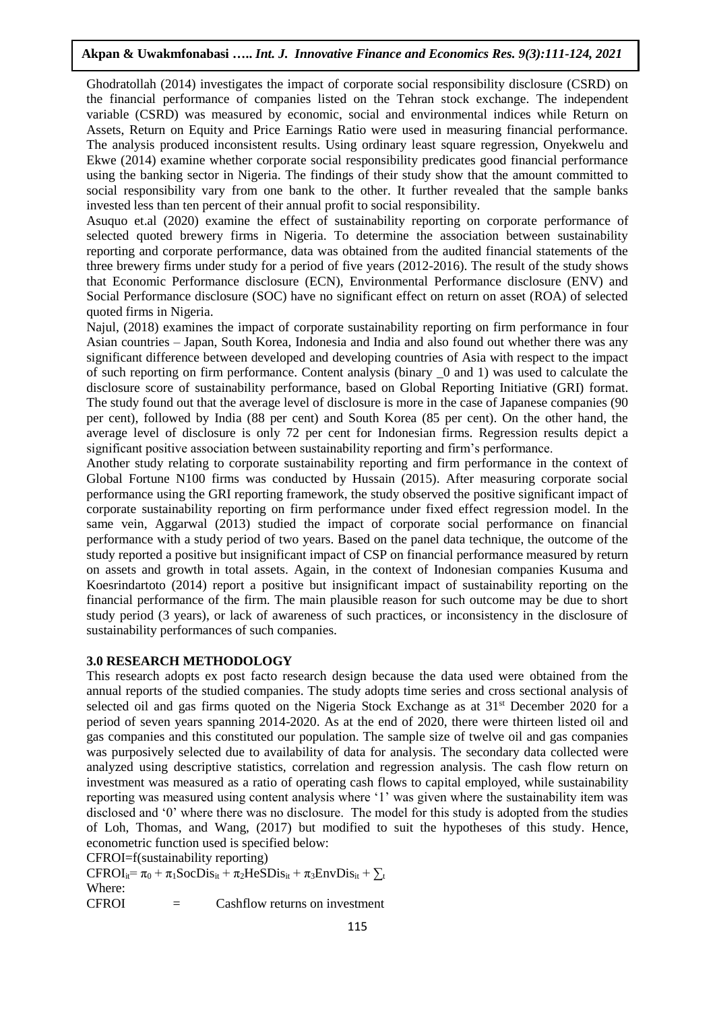Ghodratollah (2014) investigates the impact of corporate social responsibility disclosure (CSRD) on the financial performance of companies listed on the Tehran stock exchange. The independent variable (CSRD) was measured by economic, social and environmental indices while Return on Assets, Return on Equity and Price Earnings Ratio were used in measuring financial performance. The analysis produced inconsistent results. Using ordinary least square regression, Onyekwelu and Ekwe (2014) examine whether corporate social responsibility predicates good financial performance using the banking sector in Nigeria. The findings of their study show that the amount committed to social responsibility vary from one bank to the other. It further revealed that the sample banks invested less than ten percent of their annual profit to social responsibility.

Asuquo et.al (2020) examine the effect of sustainability reporting on corporate performance of selected quoted brewery firms in Nigeria. To determine the association between sustainability reporting and corporate performance, data was obtained from the audited financial statements of the three brewery firms under study for a period of five years (2012-2016). The result of the study shows that Economic Performance disclosure (ECN), Environmental Performance disclosure (ENV) and Social Performance disclosure (SOC) have no significant effect on return on asset (ROA) of selected quoted firms in Nigeria.

Najul, (2018) examines the impact of corporate sustainability reporting on firm performance in four Asian countries – Japan, South Korea, Indonesia and India and also found out whether there was any significant difference between developed and developing countries of Asia with respect to the impact of such reporting on firm performance. Content analysis (binary \_0 and 1) was used to calculate the disclosure score of sustainability performance, based on Global Reporting Initiative (GRI) format. The study found out that the average level of disclosure is more in the case of Japanese companies (90 per cent), followed by India (88 per cent) and South Korea (85 per cent). On the other hand, the average level of disclosure is only 72 per cent for Indonesian firms. Regression results depict a significant positive association between sustainability reporting and firm's performance.

Another study relating to corporate sustainability reporting and firm performance in the context of Global Fortune N100 firms was conducted by Hussain (2015). After measuring corporate social performance using the GRI reporting framework, the study observed the positive significant impact of corporate sustainability reporting on firm performance under fixed effect regression model. In the same vein, Aggarwal (2013) studied the impact of corporate social performance on financial performance with a study period of two years. Based on the panel data technique, the outcome of the study reported a positive but insignificant impact of CSP on financial performance measured by return on assets and growth in total assets. Again, in the context of Indonesian companies Kusuma and Koesrindartoto (2014) report a positive but insignificant impact of sustainability reporting on the financial performance of the firm. The main plausible reason for such outcome may be due to short study period (3 years), or lack of awareness of such practices, or inconsistency in the disclosure of sustainability performances of such companies.

## **3.0 RESEARCH METHODOLOGY**

This research adopts ex post facto research design because the data used were obtained from the annual reports of the studied companies. The study adopts time series and cross sectional analysis of selected oil and gas firms quoted on the Nigeria Stock Exchange as at  $31<sup>st</sup>$  December 2020 for a period of seven years spanning 2014-2020. As at the end of 2020, there were thirteen listed oil and gas companies and this constituted our population. The sample size of twelve oil and gas companies was purposively selected due to availability of data for analysis. The secondary data collected were analyzed using descriptive statistics, correlation and regression analysis. The cash flow return on investment was measured as a ratio of operating cash flows to capital employed, while sustainability reporting was measured using content analysis where '1' was given where the sustainability item was disclosed and '0' where there was no disclosure. The model for this study is adopted from the studies of Loh, Thomas, and Wang, (2017) but modified to suit the hypotheses of this study. Hence, econometric function used is specified below:

CFROI=f(sustainability reporting)

 $CFROI_{ii} = \pi_0 + \pi_1 SocDis_{it} + \pi_2 HeSDis_{it} + \pi_3 EnvDis_{it} + \sum_{t}$ Where:

CFROI = Cashflow returns on investment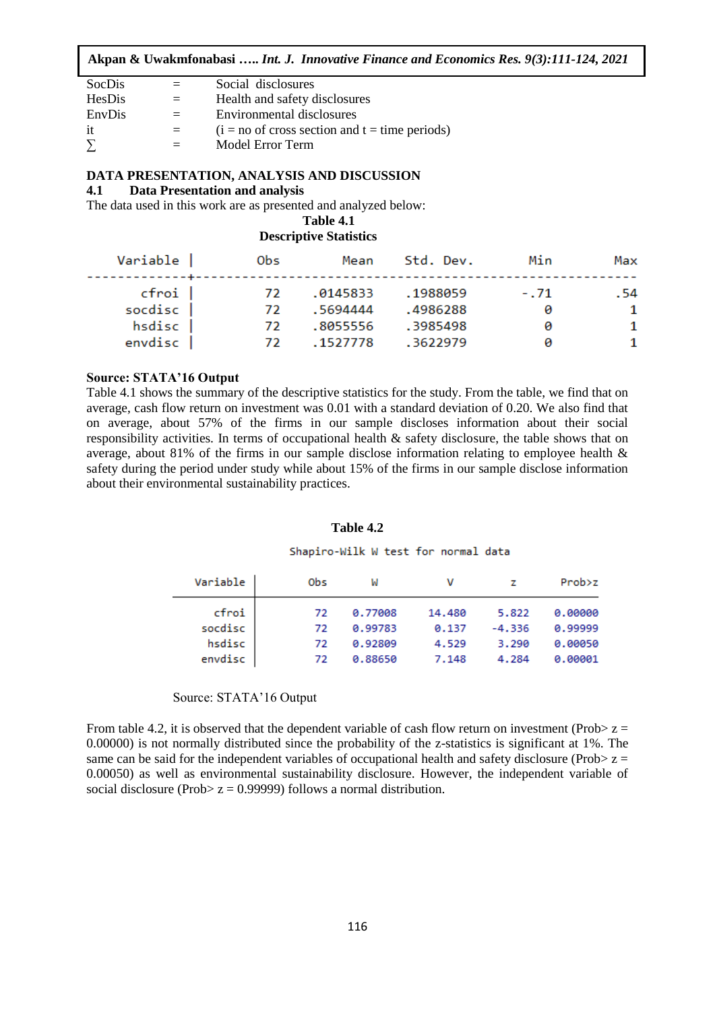| SocDis |         | Social disclosures                               |
|--------|---------|--------------------------------------------------|
| HesDis | $=$     | Health and safety disclosures                    |
| EnvDis | $=$     | Environmental disclosures                        |
| it     | $=$     | $(i = no of cross section and t = time periods)$ |
| $\sum$ | $=$ $-$ | Model Error Term                                 |

## **DATA PRESENTATION, ANALYSIS AND DISCUSSION**

## **4.1 Data Presentation and analysis**

The data used in this work are as presented and analyzed below:

## **Table 4.1 Descriptive Statistics**

| Variable           | <b>Obs</b> | Mean                 | Std. Dev.            | Min         | Max       |
|--------------------|------------|----------------------|----------------------|-------------|-----------|
| cfroi  <br>socdisc | 72.<br>72  | .0145833<br>.5694444 | .1988059<br>.4986288 | $-.71$<br>ø | . 54<br>1 |
| hsdisc<br>envdisc  | 72.<br>72. | .8055556<br>.1527778 | .3985498<br>.3622979 | 0<br>ø      | 1<br>-1   |
|                    |            |                      |                      |             |           |

## **Source: STATA'16 Output**

Table 4.1 shows the summary of the descriptive statistics for the study. From the table, we find that on average, cash flow return on investment was 0.01 with a standard deviation of 0.20. We also find that on average, about 57% of the firms in our sample discloses information about their social responsibility activities. In terms of occupational health & safety disclosure, the table shows that on average, about 81% of the firms in our sample disclose information relating to employee health & safety during the period under study while about 15% of the firms in our sample disclose information about their environmental sustainability practices.

#### **Table 4.2**

#### Shapiro-Wilk W test for normal data

| Variable | Obs | W       | v      |          | Prob>z  |
|----------|-----|---------|--------|----------|---------|
| cfroi    | 72  | 0.77008 | 14,480 | 5.822    | 0.00000 |
| socdisc  | 72  | 0.99783 | 0.137  | $-4.336$ | 0.99999 |
| hsdisc   | 72  | 0.92809 | 4.529  | 3.290    | 0.00050 |
| envdisc  | 72  | 0.88650 | 7.148  | 4.284    | 0.00001 |

#### Source: STATA'16 Output

From table 4.2, it is observed that the dependent variable of cash flow return on investment (Prob $> z =$ 0.00000) is not normally distributed since the probability of the z-statistics is significant at 1%. The same can be said for the independent variables of occupational health and safety disclosure (Prob $> z =$ 0.00050) as well as environmental sustainability disclosure. However, the independent variable of social disclosure (Prob $> z = 0.99999$ ) follows a normal distribution.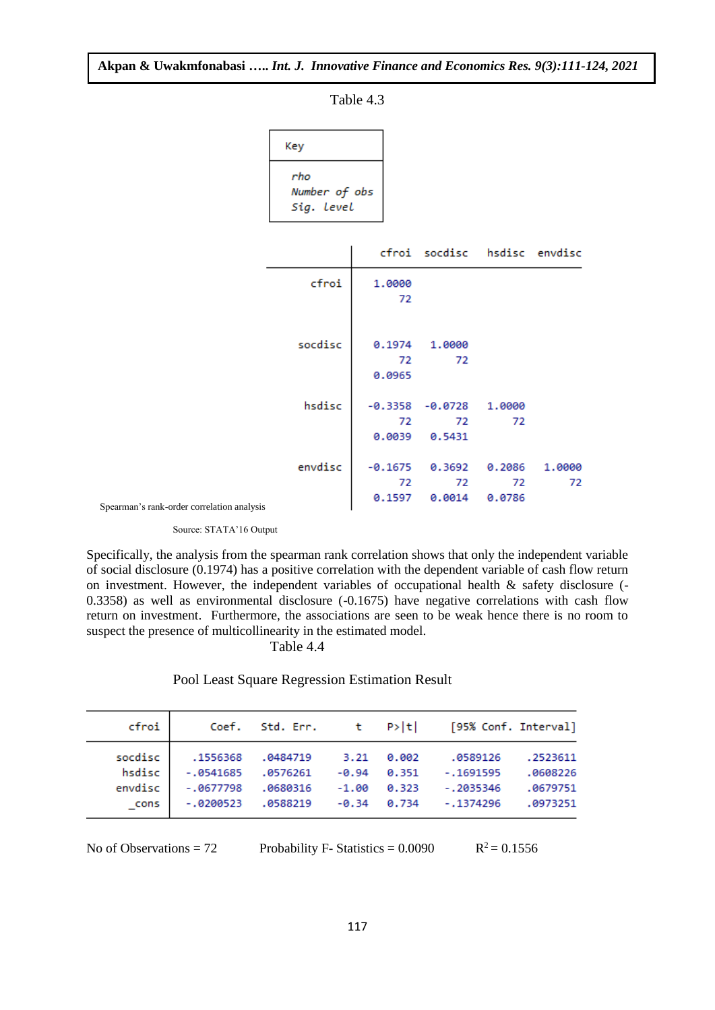|                         | кеу                                |              |                              |        |        |
|-------------------------|------------------------------------|--------------|------------------------------|--------|--------|
|                         | rho<br>Number of obs<br>Sig. Level |              |                              |        |        |
|                         |                                    |              | cfroi socdisc hsdisc envdisc |        |        |
|                         | cfroi                              | 1.0000<br>72 |                              |        |        |
|                         |                                    |              |                              |        |        |
|                         | socdisc                            |              | 0.1974 1.0000                |        |        |
|                         |                                    | 72<br>0.0965 | 72                           |        |        |
|                         | hsdisc                             |              | $-0.3358 - 0.0728$ 1.0000    |        |        |
|                         |                                    | 72           | 72<br>$0.0039$ $0.5431$      | 72     |        |
|                         | envdisc                            | $-0.1675$    | 0.3692                       | 0.2086 | 1.0000 |
|                         |                                    | 72           | 72                           | 72     | 72     |
| er correlation analysis |                                    |              | 0.1597   0.0014   0.0786     |        |        |

Table 4.3

Ñ.

Spearman's rank-order correlation analy

Source: STATA'16 Output

Specifically, the analysis from the spearman rank correlation shows that only the independent variable of social disclosure (0.1974) has a positive correlation with the dependent variable of cash flow return on investment. However, the independent variables of occupational health & safety disclosure (- 0.3358) as well as environmental disclosure (-0.1675) have negative correlations with cash flow return on investment. Furthermore, the associations are seen to be weak hence there is no room to suspect the presence of multicollinearity in the estimated model.

Table 4.4

Pool Least Square Regression Estimation Result

| cfroi   |             |          |         |               | Coef. Std. Err. t P> t  [95% Conf. Interval] |          |
|---------|-------------|----------|---------|---------------|----------------------------------------------|----------|
| socdisc | .1556368    | .0484719 | 3.21    | 0.002         | .0589126                                     | .2523611 |
| hsdisc  | $-0541685$  | .0576261 |         | $-0.94$ 0.351 | $-.1691595$                                  | .0608226 |
| envdisc | $-.0677798$ | .0680316 | $-1.00$ | 0.323         | $-.2035346$                                  | .0679751 |
| cons    | $-.0200523$ | .0588219 | $-0.34$ | 0.734         | $-.1374296$                                  | .0973251 |

No of Observations  $= 72$  Probability F- Statistics  $= 0.0090$ 

 $R^2 = 0.1556$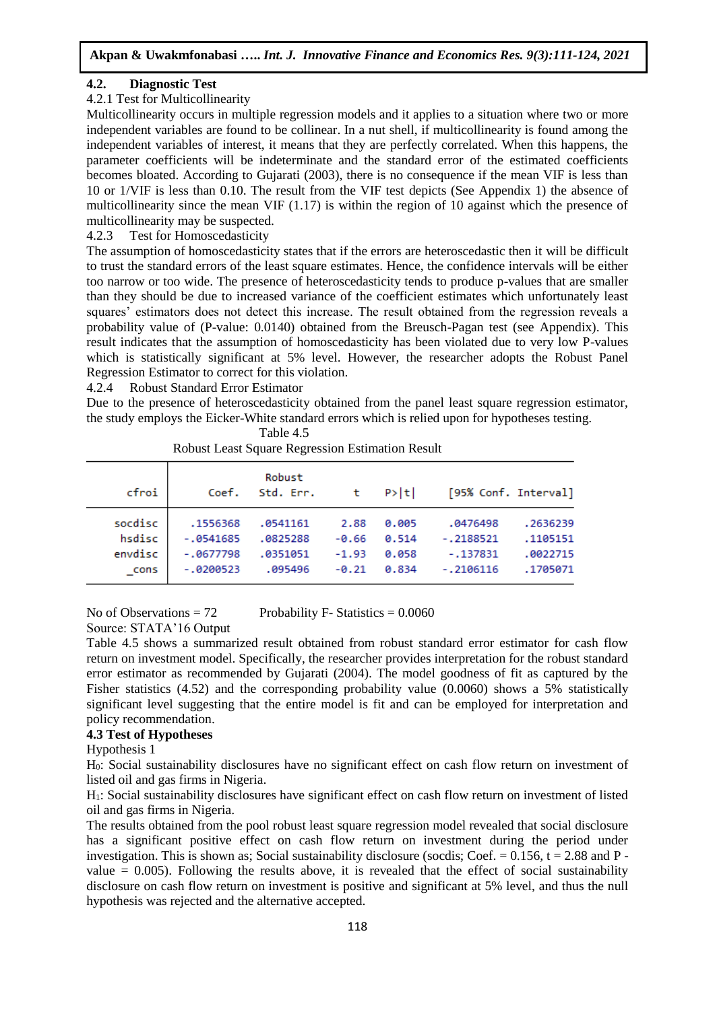# **4.2. Diagnostic Test**

# 4.2.1 Test for Multicollinearity

Multicollinearity occurs in multiple regression models and it applies to a situation where two or more independent variables are found to be collinear. In a nut shell, if multicollinearity is found among the independent variables of interest, it means that they are perfectly correlated. When this happens, the parameter coefficients will be indeterminate and the standard error of the estimated coefficients becomes bloated. According to Gujarati (2003), there is no consequence if the mean VIF is less than 10 or 1/VIF is less than 0.10. The result from the VIF test depicts (See Appendix 1) the absence of multicollinearity since the mean VIF (1.17) is within the region of 10 against which the presence of multicollinearity may be suspected.

# 4.2.3 Test for Homoscedasticity

The assumption of homoscedasticity states that if the errors are heteroscedastic then it will be difficult to trust the standard errors of the least square estimates. Hence, the confidence intervals will be either too narrow or too wide. The presence of heteroscedasticity tends to produce p-values that are smaller than they should be due to increased variance of the coefficient estimates which unfortunately least squares' estimators does not detect this increase. The result obtained from the regression reveals a probability value of (P-value: 0.0140) obtained from the Breusch-Pagan test (see Appendix). This result indicates that the assumption of homoscedasticity has been violated due to very low P-values which is statistically significant at 5% level. However, the researcher adopts the Robust Panel Regression Estimator to correct for this violation.

4.2.4 Robust Standard Error Estimator

Due to the presence of heteroscedasticity obtained from the panel least square regression estimator, the study employs the Eicker-White standard errors which is relied upon for hypotheses testing.

Table 4.5

| cfroi   | Coef.       | Robust<br>Std. Err. |         | t P> t |             | [95% Conf. Interval] |
|---------|-------------|---------------------|---------|--------|-------------|----------------------|
| socdisc | .1556368    | .0541161            | 2.88    | 0.005  | .0476498    | .2636239             |
| hsdisc  | $-0541685$  | .0825288            | $-0.66$ | 0.514  | $-.2188521$ | .1105151             |
| envdisc | $-.0677798$ | .0351051            | $-1.93$ | 0.058  | $-.137831$  | .0022715             |
| cons    | $-0.200523$ | .095496             | $-0.21$ | 0.834  | $-.2106116$ | .1705071             |

Robust Least Square Regression Estimation Result

Source: STATA'16 Output

No of Observations  $= 72$  Probability F- Statistics  $= 0.0060$ 

Table 4.5 shows a summarized result obtained from robust standard error estimator for cash flow return on investment model. Specifically, the researcher provides interpretation for the robust standard error estimator as recommended by Gujarati (2004). The model goodness of fit as captured by the Fisher statistics (4.52) and the corresponding probability value (0.0060) shows a 5% statistically significant level suggesting that the entire model is fit and can be employed for interpretation and policy recommendation.

# **4.3 Test of Hypotheses**

## Hypothesis 1

H0: Social sustainability disclosures have no significant effect on cash flow return on investment of listed oil and gas firms in Nigeria.

H1: Social sustainability disclosures have significant effect on cash flow return on investment of listed oil and gas firms in Nigeria.

The results obtained from the pool robust least square regression model revealed that social disclosure has a significant positive effect on cash flow return on investment during the period under investigation. This is shown as; Social sustainability disclosure (socdis; Coef.  $= 0.156$ ,  $t = 2.88$  and P value  $= 0.005$ ). Following the results above, it is revealed that the effect of social sustainability disclosure on cash flow return on investment is positive and significant at 5% level, and thus the null hypothesis was rejected and the alternative accepted.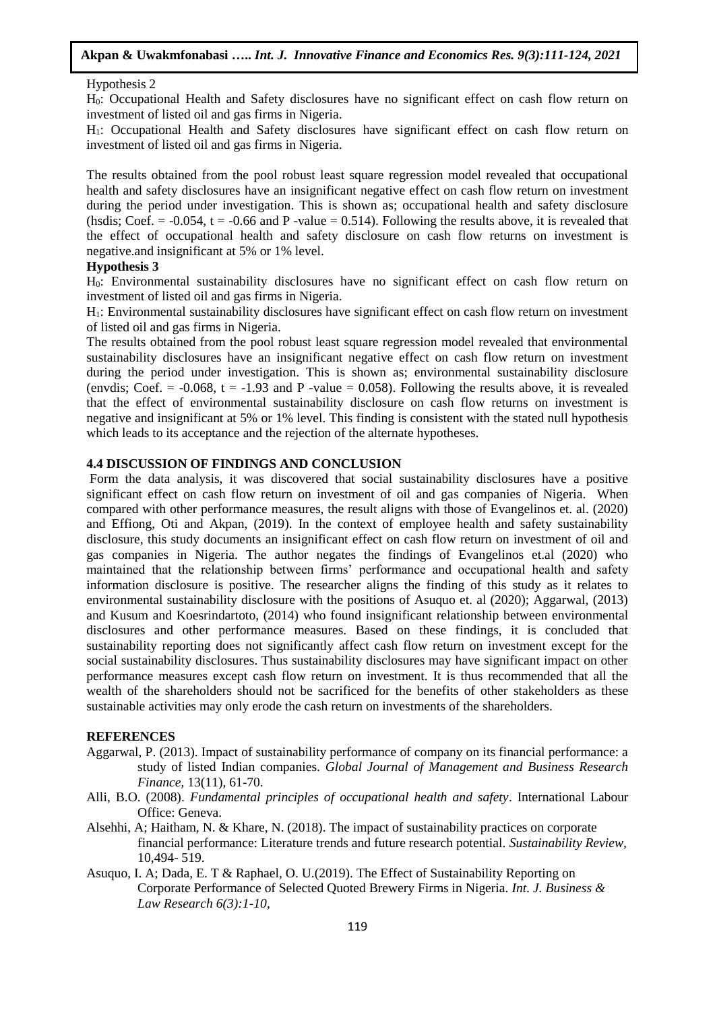## Hypothesis 2

H0: Occupational Health and Safety disclosures have no significant effect on cash flow return on investment of listed oil and gas firms in Nigeria.

H1: Occupational Health and Safety disclosures have significant effect on cash flow return on investment of listed oil and gas firms in Nigeria.

The results obtained from the pool robust least square regression model revealed that occupational health and safety disclosures have an insignificant negative effect on cash flow return on investment during the period under investigation. This is shown as; occupational health and safety disclosure (hsdis; Coef.  $= -0.054$ ,  $t = -0.66$  and P -value  $= 0.514$ ). Following the results above, it is revealed that the effect of occupational health and safety disclosure on cash flow returns on investment is negative.and insignificant at 5% or 1% level.

### **Hypothesis 3**

H0: Environmental sustainability disclosures have no significant effect on cash flow return on investment of listed oil and gas firms in Nigeria.

H1: Environmental sustainability disclosures have significant effect on cash flow return on investment of listed oil and gas firms in Nigeria.

The results obtained from the pool robust least square regression model revealed that environmental sustainability disclosures have an insignificant negative effect on cash flow return on investment during the period under investigation. This is shown as; environmental sustainability disclosure (envdis; Coef.  $= -0.068$ ,  $t = -1.93$  and P -value  $= 0.058$ ). Following the results above, it is revealed that the effect of environmental sustainability disclosure on cash flow returns on investment is negative and insignificant at 5% or 1% level. This finding is consistent with the stated null hypothesis which leads to its acceptance and the rejection of the alternate hypotheses.

#### **4.4 DISCUSSION OF FINDINGS AND CONCLUSION**

Form the data analysis, it was discovered that social sustainability disclosures have a positive significant effect on cash flow return on investment of oil and gas companies of Nigeria. When compared with other performance measures, the result aligns with those of Evangelinos et. al. (2020) and Effiong, Oti and Akpan, (2019). In the context of employee health and safety sustainability disclosure, this study documents an insignificant effect on cash flow return on investment of oil and gas companies in Nigeria. The author negates the findings of Evangelinos et.al (2020) who maintained that the relationship between firms' performance and occupational health and safety information disclosure is positive. The researcher aligns the finding of this study as it relates to environmental sustainability disclosure with the positions of Asuquo et. al (2020); Aggarwal, (2013) and Kusum and Koesrindartoto, (2014) who found insignificant relationship between environmental disclosures and other performance measures. Based on these findings, it is concluded that sustainability reporting does not significantly affect cash flow return on investment except for the social sustainability disclosures. Thus sustainability disclosures may have significant impact on other performance measures except cash flow return on investment. It is thus recommended that all the wealth of the shareholders should not be sacrificed for the benefits of other stakeholders as these sustainable activities may only erode the cash return on investments of the shareholders.

## **REFERENCES**

- Aggarwal, P. (2013). Impact of sustainability performance of company on its financial performance: a study of listed Indian companies. *Global Journal of Management and Business Research Finance,* 13(11), 61-70.
- Alli, B.O. (2008). *Fundamental principles of occupational health and safety*. International Labour Office: Geneva.
- Alsehhi, A; Haitham, N. & Khare, N. (2018). The impact of sustainability practices on corporate financial performance: Literature trends and future research potential. *Sustainability Review,*  10,494- 519.
- Asuquo, I. A; Dada, E. T & Raphael, O. U.(2019). The Effect of Sustainability Reporting on Corporate Performance of Selected Quoted Brewery Firms in Nigeria. *Int. J. Business & Law Research 6(3):1-10,*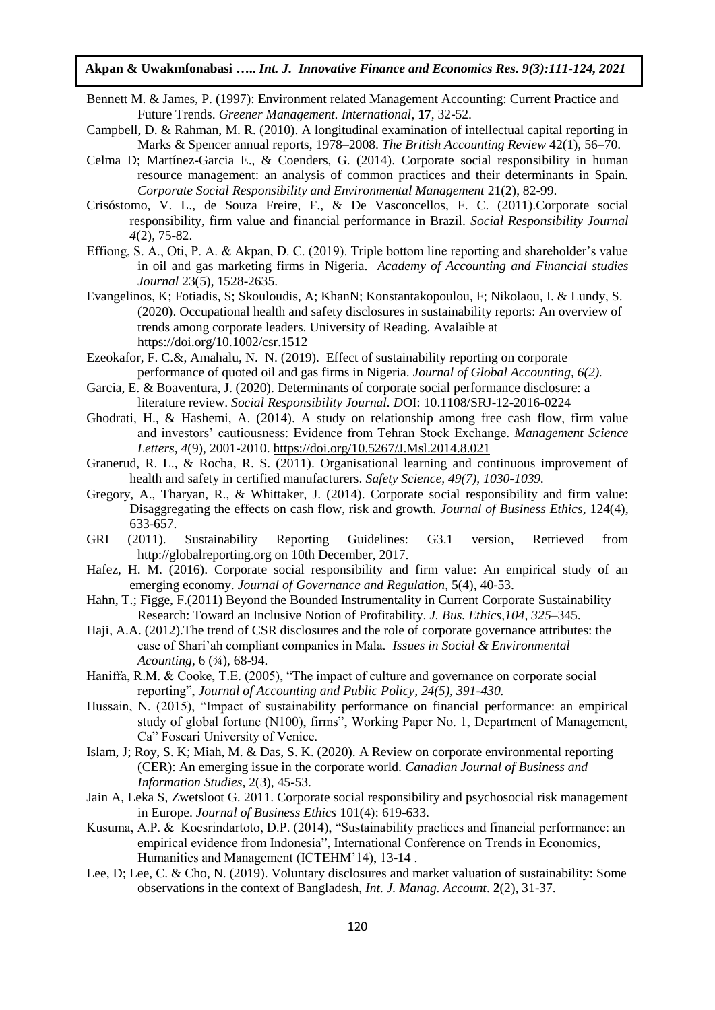- Bennett M. & James, P. (1997): Environment related Management Accounting: Current Practice and Future Trends. *Greener Management. International*, **17**, 32-52.
- Campbell, D. & Rahman, M. R. (2010). A longitudinal examination of intellectual capital reporting in Marks & Spencer annual reports, 1978–2008. *The British Accounting Review* 42(1), 56–70.
- Celma D; Martínez-Garcia E., & Coenders, G. (2014). Corporate social responsibility in human resource management: an analysis of common practices and their determinants in Spain. *Corporate Social Responsibility and Environmental Management* 21(2), 82-99.
- Crisóstomo, V. L., de Souza Freire, F., & De Vasconcellos, F. C. (2011).Corporate social responsibility, firm value and financial performance in Brazil. *Social Responsibility Journal 4*(2), 75-82.
- Effiong, S. A., Oti, P. A. & Akpan, D. C. (2019). Triple bottom line reporting and shareholder's value in oil and gas marketing firms in Nigeria. *Academy of Accounting and Financial studies Journal* 23(5), 1528-2635.
- Evangelinos, K; Fotiadis, S; Skouloudis, A; KhanN; Konstantakopoulou, F; Nikolaou, I. & Lundy, S. (2020). Occupational health and safety disclosures in sustainability reports: An overview of trends among corporate leaders. University of Reading. Avalaible at https://doi.org/10.1002/csr.1512
- Ezeokafor, F. C.&, Amahalu, N. N. (2019). Effect of sustainability reporting on corporate performance of quoted oil and gas firms in Nigeria. *Journal of Global Accounting, 6(2).*
- Garcia, E. & Boaventura, J. (2020). Determinants of corporate social performance disclosure: a literature review. *Social Responsibility Journal. D*OI: 10.1108/SRJ-12-2016-0224
- Ghodrati, H., & Hashemi, A. (2014). A study on relationship among free cash flow, firm value and investors' cautiousness: Evidence from Tehran Stock Exchange. *Management Science Letters, 4*(9), 2001-2010.<https://doi.org/10.5267/J.Msl.2014.8.021>
- Granerud, R. L., & Rocha, R. S. (2011). Organisational learning and continuous improvement of health and safety in certified manufacturers. *Safety Science, 49(7), 1030-1039.*
- Gregory, A., Tharyan, R., & Whittaker, J. (2014). Corporate social responsibility and firm value: Disaggregating the effects on cash flow, risk and growth. *Journal of Business Ethics,* 124(4), 633-657.
- GRI (2011). Sustainability Reporting Guidelines: G3.1 version, Retrieved from http://globalreporting.org on 10th December, 2017.
- Hafez, H. M. (2016). Corporate social responsibility and firm value: An empirical study of an emerging economy. *Journal of Governance and Regulation,* 5(4), 40-53.
- Hahn, T.; Figge, F.(2011) Beyond the Bounded Instrumentality in Current Corporate Sustainability Research: Toward an Inclusive Notion of Profitability. *J. Bus. Ethics,104, 325–*345.
- Haji, A.A. (2012).The trend of CSR disclosures and the role of corporate governance attributes: the case of Shari'ah compliant companies in Mala. *Issues in Social & Environmental Acounting,* 6 (¾), 68-94.
- Haniffa, R.M. & Cooke, T.E. (2005), "The impact of culture and governance on corporate social reporting", *Journal of Accounting and Public Policy, 24(5), 391-430.*
- Hussain, N. (2015), "Impact of sustainability performance on financial performance: an empirical study of global fortune (N100), firms", Working Paper No. 1, Department of Management, Ca" Foscari University of Venice.
- Islam, J; Roy, S. K; Miah, M. & Das, S. K. (2020). A Review on corporate environmental reporting (CER): An emerging issue in the corporate world. *Canadian Journal of Business and Information Studies,* 2(3), 45-53.
- Jain A, Leka S, Zwetsloot G. 2011. Corporate social responsibility and psychosocial risk management in Europe. *Journal of Business Ethics* 101(4): 619-633.
- Kusuma, A.P. & Koesrindartoto, D.P. (2014), "Sustainability practices and financial performance: an empirical evidence from Indonesia", International Conference on Trends in Economics, Humanities and Management (ICTEHM'14), 13-14 .
- Lee, D; Lee, C. & Cho, N. (2019). Voluntary disclosures and market valuation of sustainability: Some observations in the context of Bangladesh, *Int. J. Manag. Account*. **2**(2), 31-37.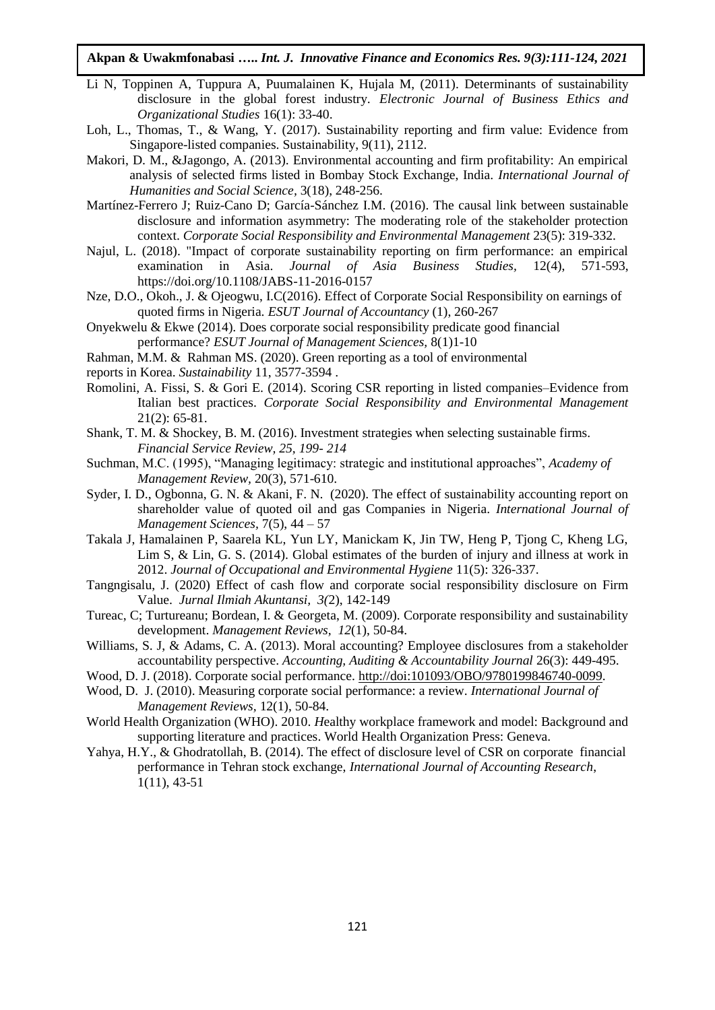- Li N, Toppinen A, Tuppura A, Puumalainen K, Hujala M, (2011). Determinants of sustainability disclosure in the global forest industry. *Electronic Journal of Business Ethics and Organizational Studies* 16(1): 33-40.
- Loh, L., Thomas, T., & Wang, Y. (2017). Sustainability reporting and firm value: Evidence from Singapore-listed companies. Sustainability, 9(11), 2112.
- Makori, D. M., &Jagongo, A. (2013). Environmental accounting and firm profitability: An empirical analysis of selected firms listed in Bombay Stock Exchange, India. *International Journal of Humanities and Social Science,* 3(18), 248-256.
- Martínez-Ferrero J; Ruiz-Cano D; García-Sánchez I.M. (2016). The causal link between sustainable disclosure and information asymmetry: The moderating role of the stakeholder protection context. *Corporate Social Responsibility and Environmental Management* 23(5): 319-332.
- Najul, L. (2018). "Impact of corporate sustainability reporting on firm performance: an empirical examination in Asia. *Journal of Asia Business Studies,* 12(4), 571-593, https://doi.org/10.1108/JABS-11-2016-0157
- Nze, D.O., Okoh., J. & Ojeogwu, I.C(2016). Effect of Corporate Social Responsibility on earnings of quoted firms in Nigeria. *ESUT Journal of Accountancy* (1), 260-267
- Onyekwelu & Ekwe (2014). Does corporate social responsibility predicate good financial performance? *ESUT Journal of Management Sciences,* 8(1)1-10
- Rahman, M.M. & Rahman MS. (2020). Green reporting as a tool of environmental
- reports in Korea. *Sustainability* 11, 3577-3594 .
- Romolini, A. Fissi, S. & Gori E. (2014). Scoring CSR reporting in listed companies–Evidence from Italian best practices. *Corporate Social Responsibility and Environmental Management*  21(2): 65-81.
- Shank, T. M. & Shockey, B. M. (2016). Investment strategies when selecting sustainable firms. *Financial Service Review, 25, 199- 214*
- Suchman, M.C. (1995), "Managing legitimacy: strategic and institutional approaches", *Academy of Management Review,* 20(3), 571-610.
- Syder, I. D., Ogbonna, G. N. & Akani, F. N. (2020). The effect of sustainability accounting report on shareholder value of quoted oil and gas Companies in Nigeria. *International Journal of Management Sciences,* 7(5), 44 – 57
- Takala J, Hamalainen P, Saarela KL, Yun LY, Manickam K, Jin TW, Heng P, Tjong C, Kheng LG, Lim S, & Lin, G. S. (2014). Global estimates of the burden of injury and illness at work in 2012. *Journal of Occupational and Environmental Hygiene* 11(5): 326-337.
- Tangngisalu, J. (2020) Effect of cash flow and corporate social responsibility disclosure on Firm Value. *Jurnal Ilmiah Akuntansi, 3(*2), 142-149
- Tureac, C; Turtureanu; Bordean, I. & Georgeta, M. (2009). Corporate responsibility and sustainability development. *Management Reviews, 12*(1), 50-84.
- Williams, S. J, & Adams, C. A. (2013). Moral accounting? Employee disclosures from a stakeholder accountability perspective. *Accounting, Auditing & Accountability Journal* 26(3): 449-495.
- Wood, D. J. (2018). Corporate social performance. [http://doi:101093/OBO/9780199846740-0099.](http://doi:101093/OBO/9780199846740-0099)
- Wood, D. J. (2010). Measuring corporate social performance: a review. *International Journal of Management Reviews,* 12(1), 50-84.
- World Health Organization (WHO). 2010. *H*ealthy workplace framework and model: Background and supporting literature and practices. World Health Organization Press: Geneva.
- Yahya, H.Y., & Ghodratollah, B. (2014). The effect of disclosure level of CSR on corporate financial performance in Tehran stock exchange, *International Journal of Accounting Research*, 1(11), 43-51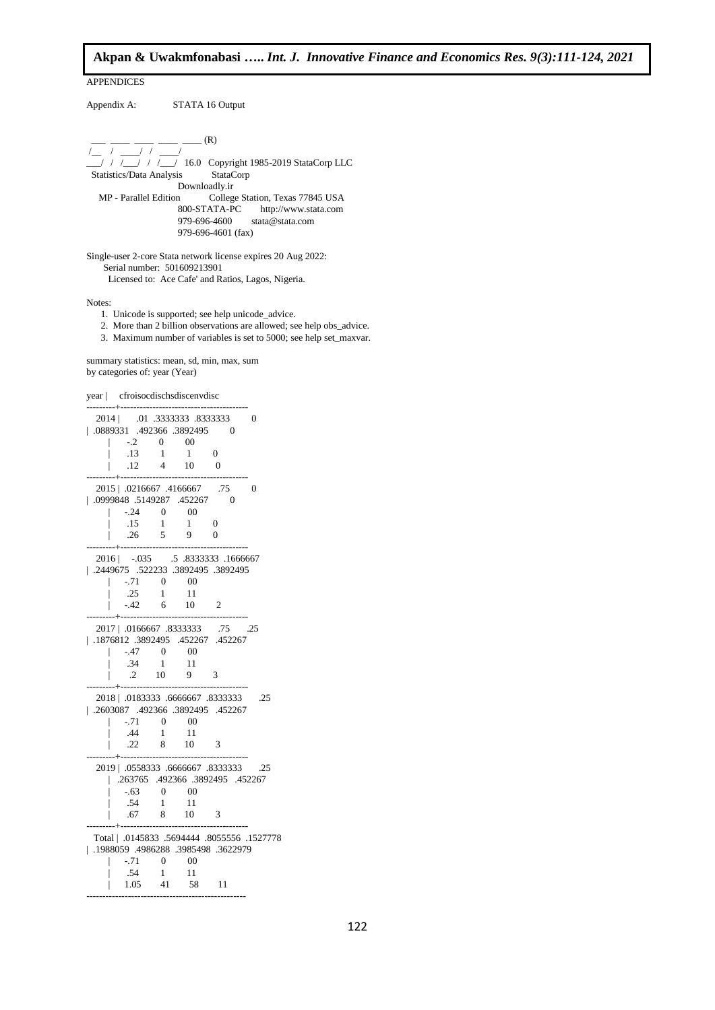APPENDICES Appendix A: STATA 16 Output  $_{-}$  (R) /\_\_ / \_\_\_\_/ / \_\_\_\_/ \_\_\_/ / /\_\_\_/ / /\_\_\_/ 16.0 Copyright 1985-2019 StataCorp LLC Statistics/Data Analysis StataCorp Downloadly.ir MP - Parallel Edition College Station, Texas 77845 USA<br>800-STATA-PC http://www.stata.com http://www.stata.com 979-696-4600 stata@stata.com 979-696-4601 (fax) Single-user 2-core Stata network license expires 20 Aug 2022: Serial number: 501609213901

Licensed to: Ace Cafe' and Ratios, Lagos, Nigeria.

Notes:

- 1. Unicode is supported; see help unicode\_advice.
- 2. More than 2 billion observations are allowed; see help obs\_advice.
- 3. Maximum number of variables is set to 5000; see help set\_maxvar.

summary statistics: mean, sd, min, max, sum by categories of: year (Year)

|  |                          |                  | year   cfroisocdischsdiscenvdisc        |                                     |                                             |
|--|--------------------------|------------------|-----------------------------------------|-------------------------------------|---------------------------------------------|
|  |                          |                  | 2014   .01 .3333333 .8333333            |                                     | 0                                           |
|  |                          |                  | 1.0889331 .492366 .3892495 0            |                                     |                                             |
|  | $-.2 \t 0 \t 00$         |                  |                                         |                                     |                                             |
|  | .13                      | -1               | -1                                      | $\overline{0}$                      |                                             |
|  | $.12\,$                  | $\frac{1}{4}$ 10 |                                         | $\overline{0}$                      |                                             |
|  |                          |                  | 2015   .0216667 .4166667 .75            |                                     | 0                                           |
|  |                          |                  | 152267. 5149287. 0999848.               | $\overline{0}$                      |                                             |
|  | $-.24 \qquad 0$          |                  | $\sim 00$                               |                                     |                                             |
|  | $.15 \t1 \t1$            |                  |                                         | $\sim 0$                            |                                             |
|  | .26                      | $5 \qquad 9$     |                                         | $\Omega$                            |                                             |
|  |                          |                  |                                         |                                     |                                             |
|  |                          |                  |                                         | 2016   -.035 .5 .8333333 .1666667   |                                             |
|  |                          |                  |                                         | 13892495. 3892495. 522233. 2449675. |                                             |
|  | $-0.71$ 0<br>.25 1       |                  | $\frac{1}{2}$                           |                                     |                                             |
|  |                          |                  | 11                                      |                                     |                                             |
|  | $-42$ 6 10               |                  |                                         | $\overline{2}$                      |                                             |
|  |                          |                  |                                         |                                     |                                             |
|  |                          |                  | 2017   .0166667 .8333333                | .75                                 | .25                                         |
|  |                          |                  |                                         | $1876812$ .3892495 .452267 .452267  |                                             |
|  | $-.47$                   | $0\qquad 0$      |                                         |                                     |                                             |
|  | $.34 \qquad 1$           |                  | 11                                      |                                     |                                             |
|  | $.2 \t10$                |                  | 9                                       | -3                                  |                                             |
|  |                          |                  |                                         | 2018   .0183333 .6666667 .8333333   | .25                                         |
|  |                          |                  |                                         | .2603087 .492366 .3892495 .452267   |                                             |
|  | $-.71 \ 0$               |                  | $\sim 00$                               |                                     |                                             |
|  | $.44 \qquad 1$           |                  | 11                                      |                                     |                                             |
|  | $.22 \qquad 8 \qquad 10$ |                  |                                         | $\overline{\phantom{a}}$            |                                             |
|  |                          |                  |                                         |                                     |                                             |
|  |                          |                  |                                         |                                     | 25. 6666667.8333333 .0558333. [40]          |
|  |                          |                  |                                         | 152267. 492366. 3892495.            |                                             |
|  |                          | $-.63$ 0 00      |                                         |                                     |                                             |
|  | .54                      |                  |                                         |                                     |                                             |
|  | .67                      | $\frac{1}{8}$    | $\begin{array}{c} 11 \\ 10 \end{array}$ | $\overline{\mathbf{3}}$             |                                             |
|  |                          |                  |                                         |                                     |                                             |
|  |                          |                  |                                         |                                     | Total   .0145833 .5694444 .8055556 .1527778 |
|  |                          |                  |                                         | 1988059 .4986288 .3985498 .3622979  |                                             |
|  | $-.71$                   | $\overline{0}$   | $\sim 00$                               |                                     |                                             |
|  | .54                      | $\overline{1}$   | - 11                                    |                                     |                                             |
|  | 1.05                     | 41               | 58                                      | 11                                  |                                             |

--------------------------------------------------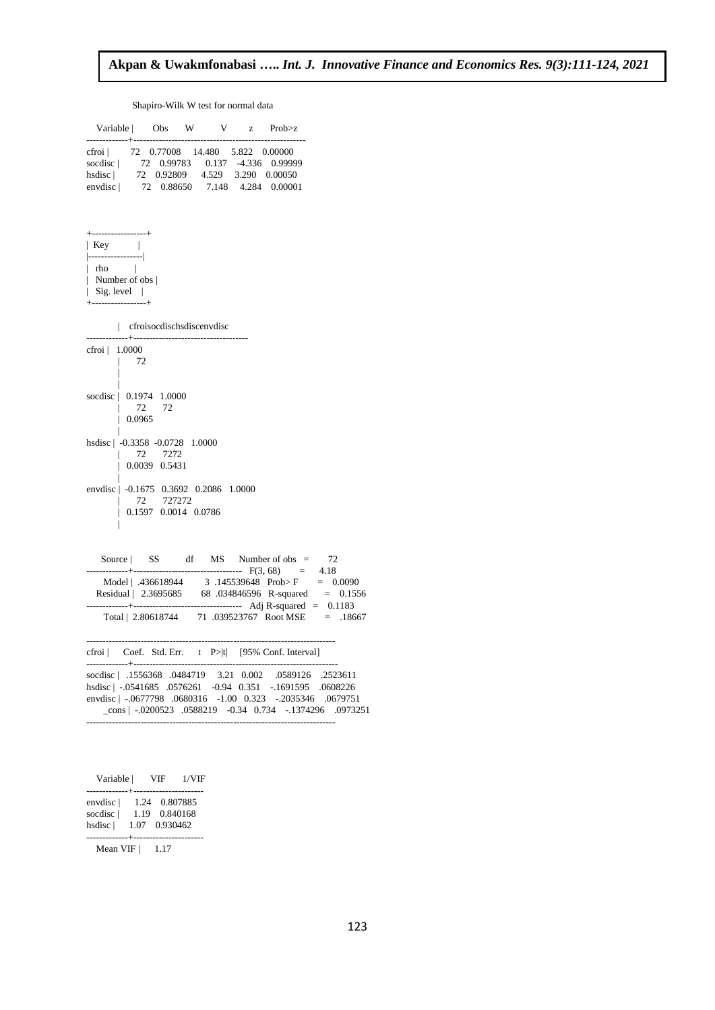# Shapiro-Wilk W test for normal data

|                                                                                               |                                    |           |  | Variable   Obs W V z Prob>z                                                                                                                                                                                                     |                                                                                                                                               |
|-----------------------------------------------------------------------------------------------|------------------------------------|-----------|--|---------------------------------------------------------------------------------------------------------------------------------------------------------------------------------------------------------------------------------|-----------------------------------------------------------------------------------------------------------------------------------------------|
| -------------+-------------<br>cfroi   72 0.77008 14.480 5.822 0.00000                        |                                    |           |  | % socdisc   72 0.99783 0.137 -4.336 0.99999<br>hsdisc   72 0.92809 4.529 3.290 0.00050<br>envdisc   72 0.88650 7.148 4.284 0.00001                                                                                              |                                                                                                                                               |
| Key  <br> ---------------- <br>$ $ rho $ $<br>  Number of obs  <br>$\vert$ Sig. level $\vert$ | -----------------+                 |           |  |                                                                                                                                                                                                                                 |                                                                                                                                               |
|                                                                                               | cfroisocdischsdiscenvdisc          |           |  |                                                                                                                                                                                                                                 |                                                                                                                                               |
| $\text{cfroi}$   1.0000                                                                       | $\mathbb{R}$<br>72                 |           |  |                                                                                                                                                                                                                                 |                                                                                                                                               |
| socdisc   0.1974 1.0000                                                                       | $\mathbf{L}$<br>$\perp 0.0965$     | 72 72     |  |                                                                                                                                                                                                                                 |                                                                                                                                               |
| hsdisc   -0.3358 -0.0728 1.0000                                                               | 1 72 7272<br>$\perp$ 0.0039 0.5431 |           |  |                                                                                                                                                                                                                                 |                                                                                                                                               |
| envdisc   -0.1675 0.3692 0.2086 1.0000                                                        | L<br>$\vert$ 0.1597 0.0014 0.0786  | 72 727272 |  |                                                                                                                                                                                                                                 |                                                                                                                                               |
|                                                                                               |                                    |           |  | Source SS df MS Number of obs =                                                                                                                                                                                                 | 72                                                                                                                                            |
|                                                                                               |                                    |           |  |                                                                                                                                                                                                                                 | $F(3, 68) = 4.18$<br>Model   .436618944 3 .145539648 Prob>F = 0.0090<br>Residual   2.3695685 68 .034846596 R-squared = 0.1556<br>$F = 0.1183$ |
|                                                                                               |                                    |           |  |                                                                                                                                                                                                                                 | Total   2.80618744 71 .039523767 Root MSE = .18667                                                                                            |
|                                                                                               |                                    |           |  | cfroi   Coef. Std. Err. t P> t  [95% Conf. Interval]                                                                                                                                                                            |                                                                                                                                               |
|                                                                                               |                                    |           |  | socdisc   .1556368 .0484719 3.21 0.002 .0589126 .2523611<br>hsdisc   -.0541685 .0576261 -0.94 0.351 -.1691595 .0608226<br>envdisc   -.0677798 .0680316 -1.00 0.323 -.2035346 .0679751<br>-------------------------------------- | $\text{cons}$   $-.0200523$ .0588219 $-.034$ 0.734 $-.1374296$ .0973251                                                                       |

| Variable  <br>-------------+---------------------- | VIF                                             | 1/VIF |
|----------------------------------------------------|-------------------------------------------------|-------|
| envdisc  <br>socdisc  <br>hsdisc                   | 1.24 0.807885<br>1.19 0.840168<br>1.07 0.930462 |       |
| Mean VIF                                           | 1.17                                            |       |